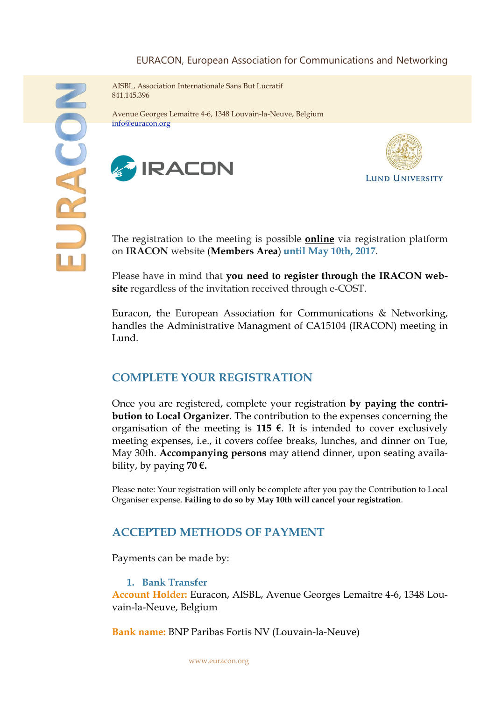#### EURACON, European Association for Communications and Networking

AISBL, Association Internationale Sans But Lucratif 841.145.396

Avenue Georges Lemaitre 4-6, 1348 Louvain-la-Neuve, Belgium [info@euracon.org](mailto:secretary@euracon.org)





The registration to the meeting is possible **[online](mailto:http://www.iracon.org/app/imembers/)** via registration platform on **IRACON** website (**Members Area**) **until May 10th, 2017**.

Please have in mind that **you need to register through the IRACON website** regardless of the invitation received through e-COST.

Euracon, the European Association for Communications & Networking, handles the Administrative Managment of CA15104 (IRACON) meeting in Lund.

### **COMPLETE YOUR REGISTRATION**

Once you are registered, complete your registration **by paying the contribution to Local Organizer**. The contribution to the expenses concerning the organisation of the meeting is **115**  $\epsilon$ . It is intended to cover exclusively meeting expenses, i.e., it covers coffee breaks, lunches, and dinner on Tue, May 30th. **Accompanying persons** may attend dinner, upon seating availability, by paying **70 €.**

Please note: Your registration will only be complete after you pay the Contribution to Local Organiser expense. **Failing to do so by May 10th will cancel your registration**.

### **ACCEPTED METHODS OF PAYMENT**

Payments can be made by:

**1. Bank Transfer**

**Account Holder:** Euracon, AISBL, Avenue Georges Lemaitre 4-6, 1348 Louvain-la-Neuve, Belgium

**Bank name:** BNP Paribas Fortis NV (Louvain-la-Neuve)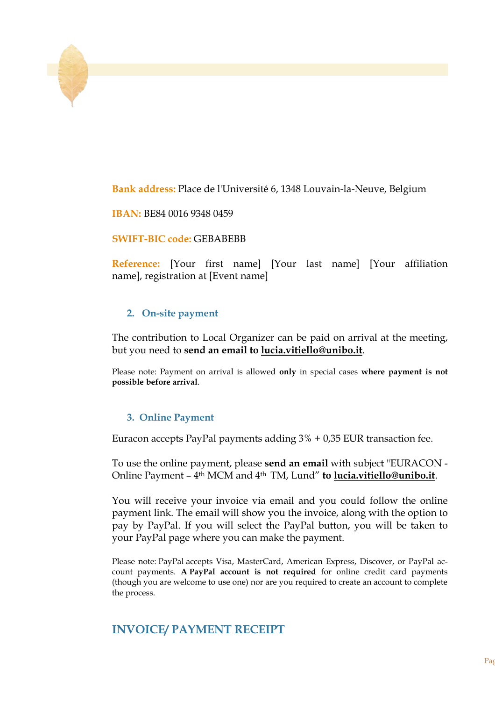**Bank address:** Place de l'Université 6, 1348 Louvain-la-Neuve, Belgium

**IBAN:** BE84 0016 9348 0459

**SWIFT-BIC code:** GEBABEBB

**Reference:** [Your first name] [Your last name] [Your affiliation name], registration at [Event name]

#### **2. On-site payment**

The contribution to Local Organizer can be paid on arrival at the meeting, but you need to **send an email to [lucia.vitiello@unibo.it](http://lucia.vitiello@unibo.it/)**.

Please note: Payment on arrival is allowed **only** in special cases **where payment is not possible before arrival**.

#### **3. Online Payment**

Euracon accepts PayPal payments adding 3% + 0,35 EUR transaction fee.

To use the online payment, please **send an email** with subject "EURACON - Online Payment – 4th MCM and 4th TM, Lund" **to [lucia.vitiello@unibo.it](http://lucia.vitiello@unibo.it/)**.

You will receive your invoice via email and you could follow the online payment link. The email will show you the invoice, along with the option to pay by PayPal. If you will select the PayPal button, you will be taken to your PayPal page where you can make the payment.

Please note: PayPal accepts Visa, MasterCard, American Express, Discover, or PayPal account payments. **A PayPal account is not required** for online credit card payments (though you are welcome to use one) nor are you required to create an account to complete the process.

# **INVOICE/ PAYMENT RECEIPT**